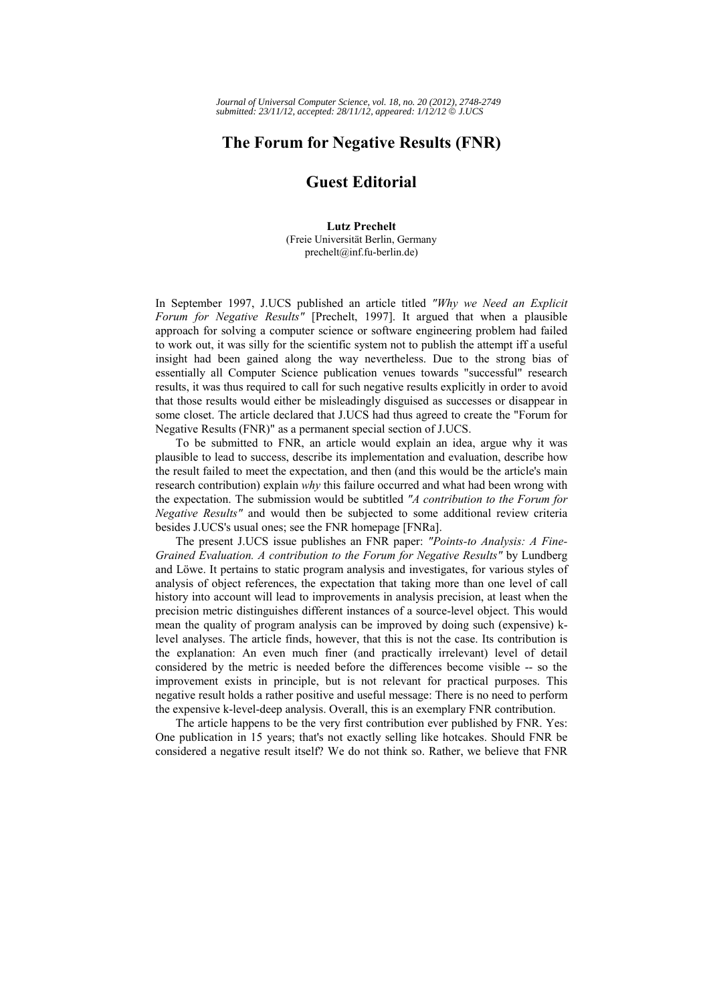## **The Forum for Negative Results (FNR)**

## **Guest Editorial**

**Lutz Prechelt**  (Freie Universität Berlin, Germany prechelt@inf.fu-berlin.de)

In September 1997, J.UCS published an article titled *"Why we Need an Explicit Forum for Negative Results"* [Prechelt, 1997]. It argued that when a plausible approach for solving a computer science or software engineering problem had failed to work out, it was silly for the scientific system not to publish the attempt iff a useful insight had been gained along the way nevertheless. Due to the strong bias of essentially all Computer Science publication venues towards "successful" research results, it was thus required to call for such negative results explicitly in order to avoid that those results would either be misleadingly disguised as successes or disappear in some closet. The article declared that J.UCS had thus agreed to create the "Forum for Negative Results (FNR)" as a permanent special section of J.UCS.

To be submitted to FNR, an article would explain an idea, argue why it was plausible to lead to success, describe its implementation and evaluation, describe how the result failed to meet the expectation, and then (and this would be the article's main research contribution) explain *why* this failure occurred and what had been wrong with the expectation. The submission would be subtitled *"A contribution to the Forum for Negative Results"* and would then be subjected to some additional review criteria besides J.UCS's usual ones; see the FNR homepage [FNRa].

The present J.UCS issue publishes an FNR paper: *"Points-to Analysis: A Fine-Grained Evaluation. A contribution to the Forum for Negative Results"* by Lundberg and Löwe. It pertains to static program analysis and investigates, for various styles of analysis of object references, the expectation that taking more than one level of call history into account will lead to improvements in analysis precision, at least when the precision metric distinguishes different instances of a source-level object. This would mean the quality of program analysis can be improved by doing such (expensive) klevel analyses. The article finds, however, that this is not the case. Its contribution is the explanation: An even much finer (and practically irrelevant) level of detail considered by the metric is needed before the differences become visible -- so the improvement exists in principle, but is not relevant for practical purposes. This negative result holds a rather positive and useful message: There is no need to perform the expensive k-level-deep analysis. Overall, this is an exemplary FNR contribution.

The article happens to be the very first contribution ever published by FNR. Yes: One publication in 15 years; that's not exactly selling like hotcakes. Should FNR be considered a negative result itself? We do not think so. Rather, we believe that FNR